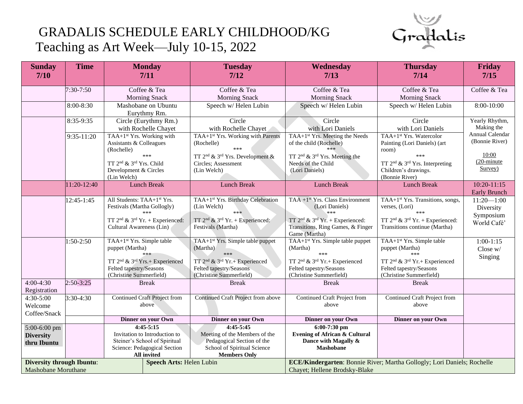## GRADALIS SCHEDULE EARLY CHILDHOOD/KG Teaching as Art Week—July 10-15, 2022



| <b>Sunday</b><br>$7/10$                                      | <b>Time</b> | <b>Monday</b><br>7/11                                  | <b>Tuesday</b><br>$7/12$                                                       | Wednesday<br>7/13                                                           | <b>Thursday</b><br>7/14                               | <b>Friday</b><br>7/15 |
|--------------------------------------------------------------|-------------|--------------------------------------------------------|--------------------------------------------------------------------------------|-----------------------------------------------------------------------------|-------------------------------------------------------|-----------------------|
|                                                              |             |                                                        |                                                                                |                                                                             |                                                       |                       |
|                                                              | 7:30-7:50   | Coffee & Tea                                           | Coffee & Tea                                                                   | Coffee & Tea                                                                | Coffee & Tea                                          | Coffee & Tea          |
|                                                              |             | <b>Morning Snack</b>                                   | <b>Morning Snack</b>                                                           | <b>Morning Snack</b>                                                        | <b>Morning Snack</b>                                  |                       |
|                                                              | 8:00-8:30   | Mashobane on Ubuntu                                    | Speech w/ Helen Lubin                                                          | Speech w/ Helen Lubin                                                       | Speech w/ Helen Lubin                                 | 8:00-10:00            |
|                                                              |             | Eurythmy Rm.                                           |                                                                                |                                                                             |                                                       |                       |
|                                                              | 8:35-9:35   | Circle (Eurythmy Rm.)                                  | Circle                                                                         | Circle                                                                      | Circle                                                | Yearly Rhythm,        |
|                                                              |             | with Rochelle Chayet                                   | with Rochelle Chayet                                                           | with Lori Daniels                                                           | with Lori Daniels                                     | Making the            |
|                                                              | 9:35-11:20  | TAA+1 <sup>st</sup> Yrs. Working with                  | TAA+1 <sup>st</sup> Yrs. Working with Parents                                  | TAA+1 <sup>st</sup> Yrs. Meeting the Needs                                  | TAA+1 <sup>st</sup> Yrs. Watercolor                   | Annual Calendar       |
|                                                              |             | Assistants & Colleagues                                | (Rochelle)                                                                     | of the child (Rochelle)                                                     | Painting (Lori Daniels) (art                          | (Bonnie River)        |
|                                                              |             | (Rochelle)                                             |                                                                                | ***                                                                         | room)<br>***                                          | 10:00                 |
|                                                              |             | TT 2 <sup>nd</sup> & 3 <sup>rd</sup> Yrs. Child        | TT 2 <sup>nd</sup> & 3 <sup>rd</sup> Yrs. Development &<br>Circles; Assessment | TT 2 <sup>nd</sup> & 3 <sup>rd</sup> Yrs. Meeting the<br>Needs of the Child | TT $2nd$ & $3rd$ Yrs. Interpreting                    | $(20$ -minute         |
|                                                              |             | Development & Circles                                  | (Lin Welch)                                                                    | (Lori Daniels)                                                              | Children's drawings.                                  | Survey)               |
|                                                              |             | (Lin Welch)                                            |                                                                                |                                                                             | (Bonnie River)                                        |                       |
|                                                              | 11:20-12:40 | <b>Lunch Break</b>                                     | <b>Lunch Break</b>                                                             | <b>Lunch Break</b>                                                          | <b>Lunch Break</b>                                    | $10:20 - 11:15$       |
|                                                              |             |                                                        |                                                                                |                                                                             |                                                       | <b>Early Brunch</b>   |
|                                                              | 12:45-1:45  | All Students: TAA+1 <sup>st</sup> Yrs.                 | TAA+1 <sup>st</sup> Yrs. Birthday Celebration                                  | TAA + $1st$ Yrs. Class Environment                                          | TAA+1 <sup>st</sup> Yrs. Transitions, songs,          | $11:20 - 1:00$        |
|                                                              |             | Festivals (Martha Gollogly)                            | (Lin Welch)                                                                    | (Lori Daniels)                                                              | verses, (Lori)                                        | Diversity             |
|                                                              |             |                                                        | ***                                                                            | $***$                                                                       | ***                                                   | Symposium             |
|                                                              |             | TT $2^{nd}$ & $3^{rd}$ Yr. + Experienced:              | TT $2^{nd}$ & $3^{rd}$ Yr. + Experienced:                                      | TT $2^{nd}$ & $3^{rd}$ Yr. + Experienced:                                   | TT $2^{nd}$ & $3^{rd}$ Yr. + Experienced:             | World Café'           |
|                                                              |             | Cultural Awareness (Lin)                               | Festivals (Martha)                                                             | Transitions, Ring Games, & Finger<br>Game (Martha)                          | Transitions continue (Martha)                         |                       |
|                                                              | 1:50-2:50   | TAA+1 <sup>st</sup> Yrs. Simple table                  | TAA+1 <sup>st</sup> Yrs. Simple table puppet                                   | TAA+1 <sup>st</sup> Yrs. Simple table puppet                                | TAA+1 <sup>st</sup> Yrs. Simple table                 | $1:00-1:15$           |
|                                                              |             | puppet (Martha)                                        | (Martha)                                                                       | (Martha)                                                                    | puppet (Martha)                                       | Close w/              |
|                                                              |             | ***                                                    | ***                                                                            | ***                                                                         | ***                                                   | Singing               |
|                                                              |             | TT 2 <sup>nd</sup> & 3 <sup>rd</sup> Yrs.+ Experienced | TT 2 <sup>nd</sup> & 3 <sup>rd</sup> Yr.+ Experienced                          | TT 2 <sup>nd</sup> & 3 <sup>rd</sup> Yr.+ Experienced                       | TT 2 <sup>nd</sup> & 3 <sup>rd</sup> Yr.+ Experienced |                       |
|                                                              |             | Felted tapestry/Seasons                                | Felted tapestry/Seasons                                                        | Felted tapestry/Seasons                                                     | Felted tapestry/Seasons                               |                       |
| $4:00-4:30$                                                  | $2:50-3:25$ | (Christine Summerfield)<br><b>Break</b>                | (Christine Summerfield)<br><b>Break</b>                                        | (Christine Summerfield)<br><b>Break</b>                                     | (Christine Summerfield)                               |                       |
| Registration                                                 |             |                                                        |                                                                                |                                                                             | <b>Break</b>                                          |                       |
| 4:30-5:00                                                    | 3:30-4:30   | Continued Craft Project from                           | Continued Craft Project from above                                             | Continued Craft Project from                                                | Continued Craft Project from                          |                       |
| Welcome                                                      |             | above                                                  |                                                                                | above                                                                       | above                                                 |                       |
| Coffee/Snack                                                 |             |                                                        |                                                                                |                                                                             |                                                       |                       |
|                                                              |             | Dinner on your Own                                     | Dinner on your Own                                                             | Dinner on your Own                                                          | Dinner on your Own                                    |                       |
| 5:00-6:00 pm                                                 |             | $4:45-5:15$                                            | $4:45-5:45$                                                                    | $6:00-7:30$ pm                                                              |                                                       |                       |
| <b>Diversity</b>                                             |             | Invitation to Introduction to                          | Meeting of the Members of the                                                  | <b>Evening of African &amp; Cultural</b>                                    |                                                       |                       |
| thru Ibuntu                                                  |             | Steiner's School of Spiritual                          | Pedagogical Section of the                                                     | Dance with Magally &                                                        |                                                       |                       |
|                                                              |             | Science: Pedagogical Section                           | School of Spiritual Science                                                    | <b>Mashobane</b>                                                            |                                                       |                       |
|                                                              |             | All invited                                            | <b>Members Only</b>                                                            |                                                                             |                                                       |                       |
| <b>Diversity through Ibuntu:</b><br>Speech Arts: Helen Lubin |             |                                                        | ECE/Kindergarten: Bonnie River; Martha Gollogly; Lori Daniels; Rochelle        |                                                                             |                                                       |                       |
| <b>Mashobane Moruthane</b>                                   |             |                                                        |                                                                                | Chayet; Hellene Brodsky-Blake                                               |                                                       |                       |